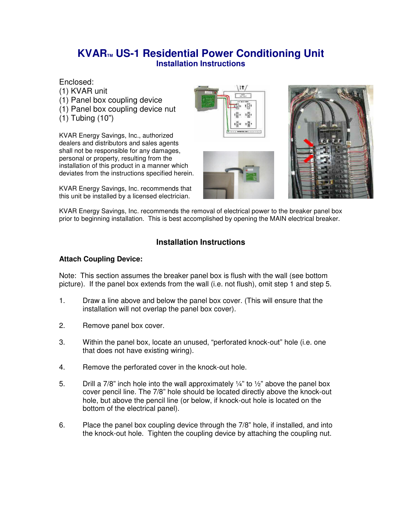# **KVARTM US-1 Residential Power Conditioning Unit Installation Instructions**

Enclosed:

- (1) KVAR unit (1) Panel box coupling device (1) Panel box coupling device nut
- (1) Tubing (10")

KVAR Energy Savings, Inc., authorized dealers and distributors and sales agents shall not be responsible for any damages, personal or property, resulting from the installation of this product in a manner which deviates from the instructions specified herein.

KVAR Energy Savings, Inc. recommends that this unit be installed by a licensed electrician.







KVAR Energy Savings, Inc. recommends the removal of electrical power to the breaker panel box prior to beginning installation. This is best accomplished by opening the MAIN electrical breaker.

# **Installation Instructions**

## **Attach Coupling Device:**

Note: This section assumes the breaker panel box is flush with the wall (see bottom picture). If the panel box extends from the wall (i.e. not flush), omit step 1 and step 5.

- 1. Draw a line above and below the panel box cover. (This will ensure that the installation will not overlap the panel box cover).
- 2. Remove panel box cover.
- 3. Within the panel box, locate an unused, "perforated knock-out" hole (i.e. one that does not have existing wiring).
- 4. Remove the perforated cover in the knock-out hole.
- 5. Drill a 7/8" inch hole into the wall approximately  $\frac{1}{4}$ " to  $\frac{1}{2}$ " above the panel box cover pencil line. The 7/8" hole should be located directly above the knock-out hole, but above the pencil line (or below, if knock-out hole is located on the bottom of the electrical panel).
- 6. Place the panel box coupling device through the 7/8" hole, if installed, and into the knock-out hole. Tighten the coupling device by attaching the coupling nut.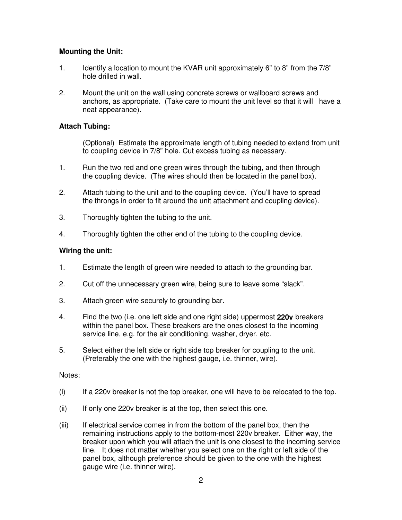## **Mounting the Unit:**

- 1. Identify a location to mount the KVAR unit approximately 6" to 8" from the 7/8" hole drilled in wall.
- 2. Mount the unit on the wall using concrete screws or wallboard screws and anchors, as appropriate. (Take care to mount the unit level so that it will have a neat appearance).

### **Attach Tubing:**

(Optional) Estimate the approximate length of tubing needed to extend from unit to coupling device in 7/8" hole. Cut excess tubing as necessary.

- 1. Run the two red and one green wires through the tubing, and then through the coupling device. (The wires should then be located in the panel box).
- 2. Attach tubing to the unit and to the coupling device. (You'll have to spread the throngs in order to fit around the unit attachment and coupling device).
- 3. Thoroughly tighten the tubing to the unit.
- 4. Thoroughly tighten the other end of the tubing to the coupling device.

### **Wiring the unit:**

- 1. Estimate the length of green wire needed to attach to the grounding bar.
- 2. Cut off the unnecessary green wire, being sure to leave some "slack".
- 3. Attach green wire securely to grounding bar.
- 4. Find the two (i.e. one left side and one right side) uppermost **220v** breakers within the panel box. These breakers are the ones closest to the incoming service line, e.g. for the air conditioning, washer, dryer, etc.
- 5. Select either the left side or right side top breaker for coupling to the unit. (Preferably the one with the highest gauge, i.e. thinner, wire).

#### Notes:

- (i) If a 220v breaker is not the top breaker, one will have to be relocated to the top.
- $(ii)$  If only one 220v breaker is at the top, then select this one.
- (iii) If electrical service comes in from the bottom of the panel box, then the remaining instructions apply to the bottom-most 220v breaker. Either way, the breaker upon which you will attach the unit is one closest to the incoming service line. It does not matter whether you select one on the right or left side of the panel box, although preference should be given to the one with the highest gauge wire (i.e. thinner wire).